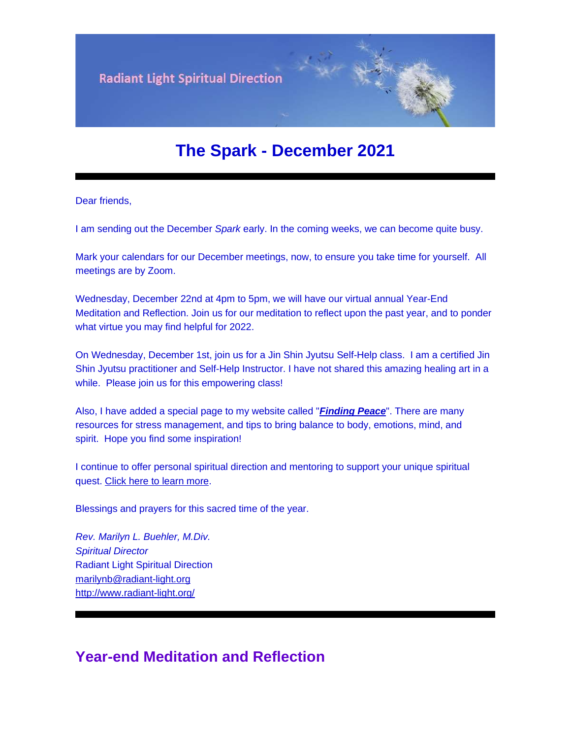

# **The Spark - December 2021**

Dear friends,

I am sending out the December *Spark* early. In the coming weeks, we can become quite busy.

Mark your calendars for our December meetings, now, to ensure you take time for yourself. All meetings are by Zoom.

Wednesday, December 22nd at 4pm to 5pm, we will have our virtual annual Year-End Meditation and Reflection. Join us for our meditation to reflect upon the past year, and to ponder what virtue you may find helpful for 2022.

On Wednesday, December 1st, join us for a Jin Shin Jyutsu Self-Help class. I am a certified Jin Shin Jyutsu practitioner and Self-Help Instructor. I have not shared this amazing healing art in a while. Please join us for this empowering class!

Also, I have added a special page to my website called "*[Finding Peace](https://u18544456.ct.sendgrid.net/ls/click?upn=YO6TcuTs2Xz6NlJVKcEQZiklIDFGo-2FRGaP7ZnccBbQCDDh19uP0RQxMTEvnWuYgFXJqzfzKCABa8SeH09LQwlA-3D-3DGH0__FiQrYGg1YZElR924caalGEP3AHGeF79ulf5jxC9Fbcd8IfoR4p2-2FW0xZvJaX6Y3z75H0Yw3uGmHJTH3azVPJ5HTXrZ-2Ft5OVM5Vv31JFvUf3sl-2Bt2VvZL3mo9-2FDK3jGCpTzTnTPhtlYbK2G9p8n8PA87PFv1Z-2BzqLpZXDj42pssdeCZiNz8qlJLqiPSlW6VI6gfPifoxZ2ijC9iBeDwhZk51BRjMilJ84A5J3SmER6mIhKk0OK84I4RF7cESptYffYod-2BU1dqux6r3hyBzPNTYM58X4xd-2FJctohAp5aZsyzAj83nFFhyb27KCpHz76juGa4fimonMEJ4aOJz3xx4W5sDTWn4sesJ-2F63zfWMR-2BKQQ-2F-2Bcb7cGQRLAc1oRiSjzEk-2BqJ8XPfRLC9N2TK-2F2BMDL951HPK1R7JxVIWNekSMDqa91DKXPnxHxwvzYHUs2DvnJiNbQWmYVvq1P00-2B-2BKknRRWk4xYllttnUOtD4uAQNF0V2u7aBPdzaTIdkJcgc0K0oHDiqFq98s3-2FP6W1Ycvyz9v8wgf84hvQUvlhEJP7ZEoIJKeF0A2HibmGNUVd3io7VUZzBZ-2F2psBSYfRzasoQWDG54STehM9Rn4nnhezEQ-2FI0jmZ-2FHzP-2BBlGllYm64ZjbWXZzkvbVdM41lsGsu-2F3p0Xv5wX94dFieoTmgATOR8g3tc8YBuo3kp8Uev-2FWxFYi4g4YoolC8lQbiOzXqO8-2FVEQifRkL8DNGlWVtMF-2BPEh6kAAx3bSCWFjFiJFYUVHY15BlT2w4UGH43as1uGbNfm-2BLvQPTxkAgBHlB9ytGEe5elb4cxQ2pretyZsHnXu3Yp40NNidAWsk6wxWd1o0F8eEWOtwCD-2BI7Fs4-2B-2FUVqBRNbs-3D)*". There are many resources for stress management, and tips to bring balance to body, emotions, mind, and spirit. Hope you find some inspiration!

I continue to offer personal spiritual direction and mentoring to support your unique spiritual quest. [Click here to learn more.](https://u18544456.ct.sendgrid.net/ls/click?upn=YO6TcuTs2Xz6NlJVKcEQZiklIDFGo-2FRGaP7ZnccBbQARgepgBehisljIdHaxu5bw3Tzxlji9z6lwkzLEwzWXaQ-3D-3D6BoT_FiQrYGg1YZElR924caalGEP3AHGeF79ulf5jxC9Fbcd8IfoR4p2-2FW0xZvJaX6Y3z75H0Yw3uGmHJTH3azVPJ5HTXrZ-2Ft5OVM5Vv31JFvUf3sl-2Bt2VvZL3mo9-2FDK3jGCpTzTnTPhtlYbK2G9p8n8PA87PFv1Z-2BzqLpZXDj42pssdeCZiNz8qlJLqiPSlW6VI6gfPifoxZ2ijC9iBeDwhZk51BRjMilJ84A5J3SmER6mIhKk0OK84I4RF7cESptYffYod-2BU1dqux6r3hyBzPNTYM58X4xd-2FJctohAp5aZsyzAj83nFFhyb27KCpHz76juGa4fimonMEJ4aOJz3xx4W5sDTWn4sesJ-2F63zfWMR-2BKQQ-2F-2Bcb7cGQRLAc1oRiSjzEk-2BqJ8XPfRLC9N2TK-2F2BMDL951HPK1R7JxVIWNekSMDqa91DKXPnxHxwvzYHUs2DvnJiNbQWmYVvq1P00-2B-2BKknRRWk4xYllttnUOtD4uAQNF0V2u7aBPdzaTIdkJcgc0K0oHDiqFq98s3-2FP6W1Ycvyz9v8wgf84hvQUvlhEJP7ZEoIJKeF0A2HibmGNUVd3io7VUZzBZ-2F2psBSYfRzasoQWDG54STehM9Rn4nnhezEQ-2FI0jmZ-2FHzP-2BBlGllYm64ZjbWXZzkvbVdM41lsGsu-2F3p0Xv5wX94dFieoTmgATOR8g3tc8YBuo3kp8Uev-2FWxFYi4g4YoolC8lQbiOzXqO8-2FVEfIBY7L3SomYJW-2FP-2BrnQi8PO0P0IqlKIT-2FuZdQG8lAMEvuxEBR7a2B5TniGR-2Fl3oNjL4z1jVnis9CWpH1YHewfS3uV8Ii2R6YN6wSdm48cHq7-2BK-2Bo1hbai0nfrfaJBnQTZbmhqG8kWE-2FtpNE-2FM9oH-2Bk-3D)

Blessings and prayers for this sacred time of the year.

*Rev. Marilyn L. Buehler, M.Div. Spiritual Director* Radiant Light Spiritual Direction [marilynb@radiant-light.org](mailto:marilynb@radiant-light.org) [http://www.radiant-light.org/](https://u18544456.ct.sendgrid.net/ls/click?upn=R-2Bl7NGDLiuME3v4KUDXT9h2qnOPi-2Bv0NUDPOAvqgwbSGaV-2BAb3Xm4aVOKtH6HhU9m-2FTXOQwSXWi82XNXQXmW0Ybjzw6tS-2BT4DLdUHTzXugFWK15x1FY1bK6oAs60zDHaTrId_FiQrYGg1YZElR924caalGEP3AHGeF79ulf5jxC9Fbcd8IfoR4p2-2FW0xZvJaX6Y3z75H0Yw3uGmHJTH3azVPJ5HTXrZ-2Ft5OVM5Vv31JFvUf3sl-2Bt2VvZL3mo9-2FDK3jGCpTzTnTPhtlYbK2G9p8n8PA87PFv1Z-2BzqLpZXDj42pssdeCZiNz8qlJLqiPSlW6VI6gfPifoxZ2ijC9iBeDwhZk51BRjMilJ84A5J3SmER6mIhKk0OK84I4RF7cESptYffYod-2BU1dqux6r3hyBzPNTYM58X4xd-2FJctohAp5aZsyzAj83nFFhyb27KCpHz76juGa4fimonMEJ4aOJz3xx4W5sDTWn4sesJ-2F63zfWMR-2BKQQ-2F-2Bcb7cGQRLAc1oRiSjzEk-2BqJ8XPfRLC9N2TK-2F2BMDL951HPK1R7JxVIWNekSMDqa91DKXPnxHxwvzYHUs2DvnJiNbQWmYVvq1P00-2B-2BKknRRWk4xYllttnUOtD4uAQNF0V2u7aBPdzaTIdkJcgc0K0oHDiqFq98s3-2FP6W1Ycvyz9v8wgf84hvQUvlhEJP7ZEoIJKeF0A2HibmGNUVd3io7VUZzBZ-2F2psBSYfRzasoQWDG54STehM9Rn4nnhezEQ-2FI0jmZ-2FHzP-2BBlGllYm64ZjbWXZzkvbVdM41lsGsu-2F3p0Xv5wX94dFieoTmgATOR8g3tc8YBuo3kp8Uev-2FWxFYi4g4YoolC8lQbiOzXqO8-2FVEbdkt4h9-2FWSMdRLIKkTGJu6y1uXbQRqMrHaMU-2B7J7Tl3Uaqtt7CRI4Zx3R49c69wImj6WhNtzA0hHrL8em3gOc3Usa9-2F6-2FHkis-2Fh1WUz69FtYyae3Yz8OAYsUhP-2FoEIpp1CDVbe4Elia9gyRgE7NmIE-3D)

## **Year-end Meditation and Reflection**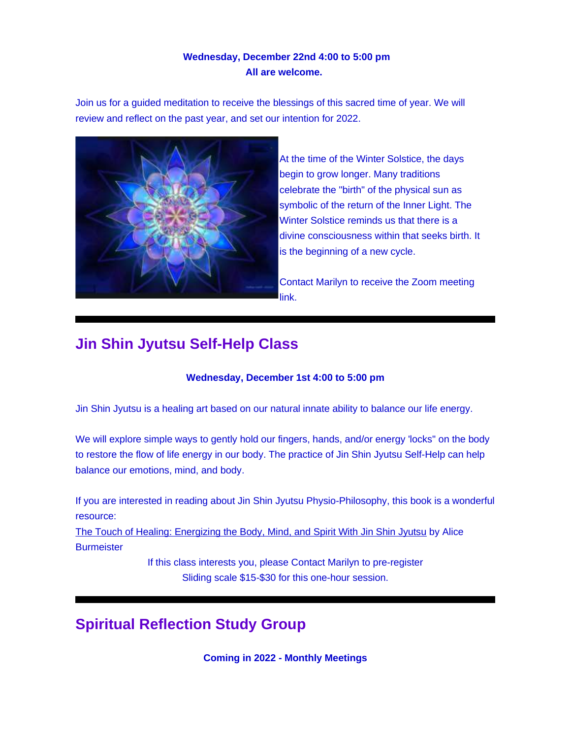### **Wednesday, December 22nd 4:00 to 5:00 pm All are welcome.**

Join us for a guided meditation to receive the blessings of this sacred time of year. We will review and reflect on the past year, and set our intention for 2022.



At the time of the Winter Solstice, the days begin to grow longer. Many traditions celebrate the "birth" of the physical sun as symbolic of the return of the Inner Light. The Winter Solstice reminds us that there is a divine consciousness within that seeks birth. It is the beginning of a new cycle.

Contact Marilyn to receive the Zoom meeting link.

# **Jin Shin Jyutsu Self-Help Class**

#### **Wednesday, December 1st 4:00 to 5:00 pm**

Jin Shin Jyutsu is a healing art based on our natural innate ability to balance our life energy.

We will explore simple ways to gently hold our fingers, hands, and/or energy 'locks" on the body to restore the flow of life energy in our body. The practice of Jin Shin Jyutsu Self-Help can help balance our emotions, mind, and body.

If you are interested in reading about Jin Shin Jyutsu Physio-Philosophy, this book is a wonderful resource:

[The Touch of Healing: Energizing the Body, Mind, and Spirit With Jin Shin Jyutsu](https://u18544456.ct.sendgrid.net/ls/click?upn=R-2Bl7NGDLiuME3v4KUDXT9okDMyUAi6-2B1xNTUhy1VI1XSO63z9iNrtHZNOYdVB4uAl2E9Wh6z56JhYaRKyxgiNyzDUYIT2FRQ1M3yeJ1xldkyDKE-2FlGv1YjGpAFKKrHCa33dI_FiQrYGg1YZElR924caalGEP3AHGeF79ulf5jxC9Fbcd8IfoR4p2-2FW0xZvJaX6Y3z75H0Yw3uGmHJTH3azVPJ5HTXrZ-2Ft5OVM5Vv31JFvUf3sl-2Bt2VvZL3mo9-2FDK3jGCpTzTnTPhtlYbK2G9p8n8PA87PFv1Z-2BzqLpZXDj42pssdeCZiNz8qlJLqiPSlW6VI6gfPifoxZ2ijC9iBeDwhZk51BRjMilJ84A5J3SmER6mIhKk0OK84I4RF7cESptYffYod-2BU1dqux6r3hyBzPNTYM58X4xd-2FJctohAp5aZsyzAj83nFFhyb27KCpHz76juGa4fimonMEJ4aOJz3xx4W5sDTWn4sesJ-2F63zfWMR-2BKQQ-2F-2Bcb7cGQRLAc1oRiSjzEk-2BqJ8XPfRLC9N2TK-2F2BMDL951HPK1R7JxVIWNekSMDqa91DKXPnxHxwvzYHUs2DvnJiNbQWmYVvq1P00-2B-2BKknRRWk4xYllttnUOtD4uAQNF0V2u7aBPdzaTIdkJcgc0K0oHDiqFq98s3-2FP6W1Ycvyz9v8wgf84hvQUvlhEJP7ZEoIJKeF0A2HibmGNUVd3io7VUZzBZ-2F2psBSYfRzasoQWDG54STehM9Rn4nnhezEQ-2FI0jmZ-2FHzP-2BBlGllYm64ZjbWXZzkvbVdM41lsGsu-2F3p0Xv5wX94dFieoTmgATOR8g3tc8YBuo3kp8Uev-2FWxFYi4g4YoolC8lQbiOzXqO8-2FVER6-2FYPxfWqDaqrog9soGdRfMipdEu3Ln6f3K0JMkkxEYoajWUgK2u-2B5b0F7tMpCk2FWIQfI0Uwwl98wBlYkEHrVWY1tM4CeLEBtnGMnGpK8RiGuAPaz3TvbUBkXXmcCJkiI7XbgScCL9pdTB1buGkbk-3D) by Alice **Burmeister** 

> If this class interests you, please Contact Marilyn to pre-register Sliding scale \$15-\$30 for this one-hour session.

# **Spiritual Reflection Study Group**

**Coming in 2022 - Monthly Meetings**